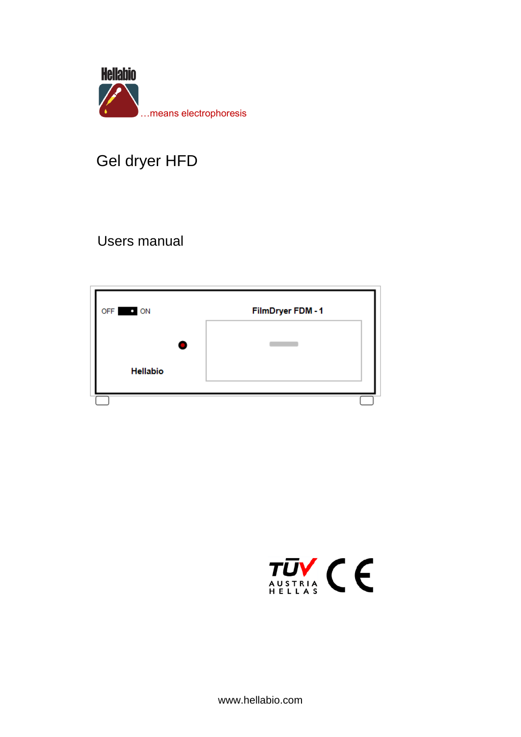

# Gel dryer HFD

# **Users manual**



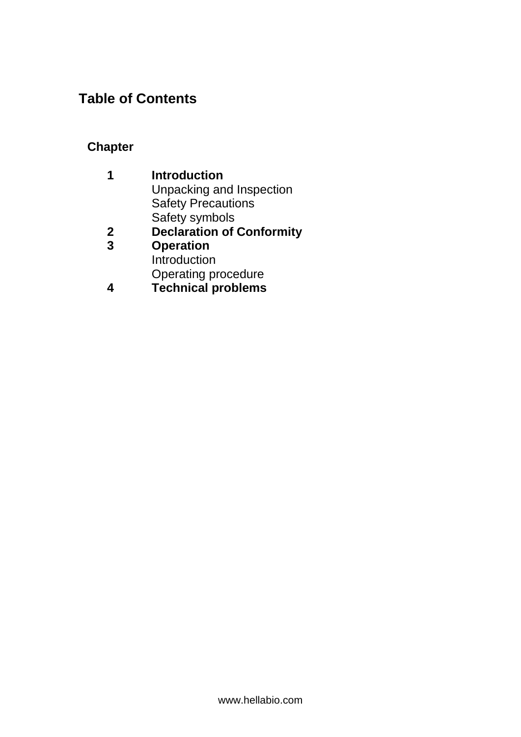# **Table of Contents**

### **Chapter**

| 1 | <b>Introduction</b>              |
|---|----------------------------------|
|   | Unpacking and Inspection         |
|   | <b>Safety Precautions</b>        |
|   | Safety symbols                   |
| 2 | <b>Declaration of Conformity</b> |
| 3 | <b>Operation</b>                 |

- Introduction Operating procedure
- **4 Technical problems**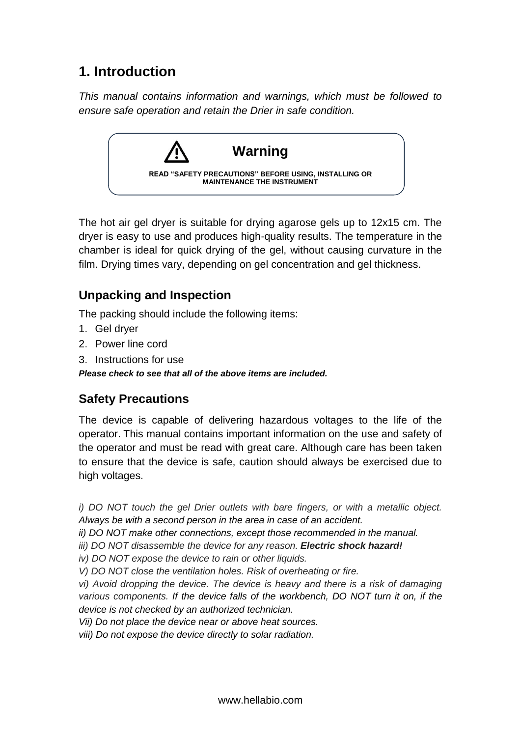## **1. Introduction**

*This manual contains information and warnings, which must be followed to ensure safe operation and retain the Drier in safe condition.*



The hot air gel dryer is suitable for drying agarose gels up to 12x15 cm. The dryer is easy to use and produces high-quality results. The temperature in the chamber is ideal for quick drying of the gel, without causing curvature in the film. Drying times vary, depending on gel concentration and gel thickness.

### **Unpacking and Inspection**

The packing should include the following items:

- 1.Gel dryer
- 2.Power line cord
- 3. Instructions for use

*Please check to see that all of the above items are included.*

### **Safety Precautions**

The device is capable of delivering hazardous voltages to the life of the operator. This manual contains important information on the use and safety of the operator and must be read with great care. Although care has been taken to ensure that the device is safe, caution should always be exercised due to high voltages.

*i)* DO NOT touch the gel Drier outlets with bare fingers, or with a metallic object. *Always be with a second person in the area in case of an accident.*

*ii) DO NOT make other connections, except those recommended in the manual.*

*iii) DO NOT disassemble the device for any reason. Electric shock hazard!*

*iv) DO NOT expose the device to rain or other liquids.*

*V) DO NOT close the ventilation holes. Risk of overheating or fire.*

*vi) Avoid dropping the device. The device is heavy and there is a risk of damaging various components. If the device falls of the workbench, DO NOT turn it on, if the device is not checked by an authorized technician.*

*Vii) Do not place the device near or above heat sources.*

*viii) Do not expose the device directly to solar radiation.*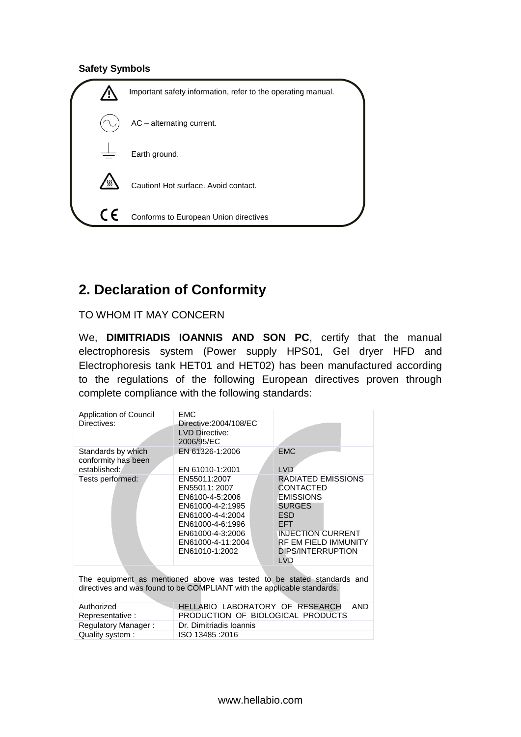#### **Safety Symbols**



# **2. Declaration of Conformity**

TO WHOM IT MAY CONCERN

We, **DIMITRIADIS IOANNIS AND SON PC**, certify that the manual electrophoresis system (Power supply HPS01, Gel dryer HFD and Electrophoresis tank HET01 and HET02) has been manufactured according to the regulations of the following European directives proven through complete compliance with the following standards:

| <b>EMC</b><br>Directive: 2004/108/EC<br><b>LVD Directive:</b><br>2006/95/EC                                                                                             |                                                                                                                                                                                                              |  |  |
|-------------------------------------------------------------------------------------------------------------------------------------------------------------------------|--------------------------------------------------------------------------------------------------------------------------------------------------------------------------------------------------------------|--|--|
| EN 61326-1:2006<br>EN 61010-1:2001                                                                                                                                      | <b>EMC</b><br><b>LVD</b>                                                                                                                                                                                     |  |  |
| EN55011:2007<br>EN55011: 2007<br>EN6100-4-5:2006<br>EN61000-4-2:1995<br>EN61000-4-4:2004<br>EN61000-4-6:1996<br>EN61000-4-3:2006<br>EN61000-4-11:2004<br>EN61010-1:2002 | RADIATED EMISSIONS<br><b>CONTACTED</b><br><b>EMISSIONS</b><br><b>SURGES</b><br><b>ESD</b><br><b>EFT</b><br><b>INJECTION CURRENT</b><br><b>RF EM FIELD IMMUNITY</b><br><b>DIPS/INTERRUPTION</b><br><b>LVD</b> |  |  |
| The equipment as mentioned above was tested to be stated standards and<br>directives and was found to be COMPLIANT with the applicable standards.                       |                                                                                                                                                                                                              |  |  |
| Authorized<br>HELLABIO LABORATORY OF RESEARCH<br><b>AND</b><br>PRODUCTION OF BIOLOGICAL PRODUCTS<br>Representative:                                                     |                                                                                                                                                                                                              |  |  |
| Dr. Dimitriadis Ioannis                                                                                                                                                 |                                                                                                                                                                                                              |  |  |
|                                                                                                                                                                         | ISO 13485 : 2016                                                                                                                                                                                             |  |  |